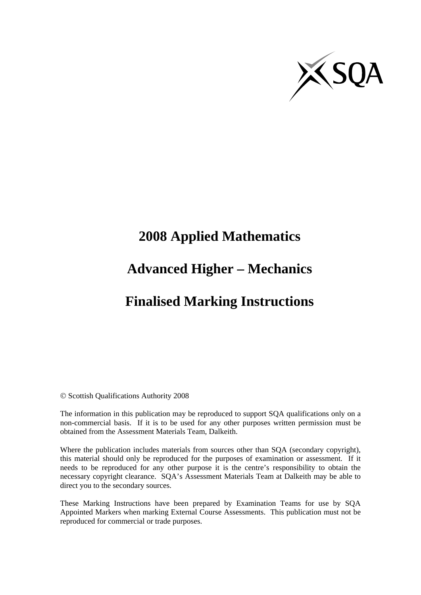

# **2008 Applied Mathematics**

## **Advanced Higher – Mechanics**

## **Finalised Marking Instructions**

© Scottish Qualifications Authority 2008

The information in this publication may be reproduced to support SQA qualifications only on a non-commercial basis. If it is to be used for any other purposes written permission must be obtained from the Assessment Materials Team, Dalkeith.

Where the publication includes materials from sources other than SQA (secondary copyright), this material should only be reproduced for the purposes of examination or assessment. If it needs to be reproduced for any other purpose it is the centre's responsibility to obtain the necessary copyright clearance. SQA's Assessment Materials Team at Dalkeith may be able to direct you to the secondary sources.

These Marking Instructions have been prepared by Examination Teams for use by SQA Appointed Markers when marking External Course Assessments. This publication must not be reproduced for commercial or trade purposes.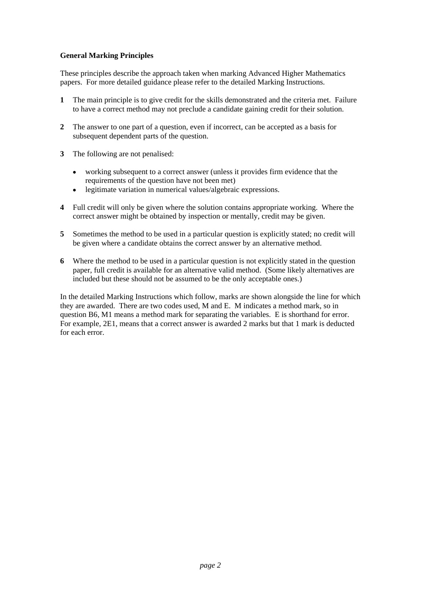### **General Marking Principles**

These principles describe the approach taken when marking Advanced Higher Mathematics papers. For more detailed guidance please refer to the detailed Marking Instructions.

- **1** The main principle is to give credit for the skills demonstrated and the criteria met. Failure to have a correct method may not preclude a candidate gaining credit for their solution.
- **2** The answer to one part of a question, even if incorrect, can be accepted as a basis for subsequent dependent parts of the question.
- **3** The following are not penalised:
	- working subsequent to a correct answer (unless it provides firm evidence that the requirements of the question have not been met)
	- legitimate variation in numerical values/algebraic expressions.
- **4** Full credit will only be given where the solution contains appropriate working. Where the correct answer might be obtained by inspection or mentally, credit may be given.
- **5** Sometimes the method to be used in a particular question is explicitly stated; no credit will be given where a candidate obtains the correct answer by an alternative method.
- **6** Where the method to be used in a particular question is not explicitly stated in the question paper, full credit is available for an alternative valid method. (Some likely alternatives are included but these should not be assumed to be the only acceptable ones.)

In the detailed Marking Instructions which follow, marks are shown alongside the line for which they are awarded. There are two codes used, M and E. M indicates a method mark, so in question B6, M1 means a method mark for separating the variables. E is shorthand for error. For example, 2E1, means that a correct answer is awarded 2 marks but that 1 mark is deducted for each error.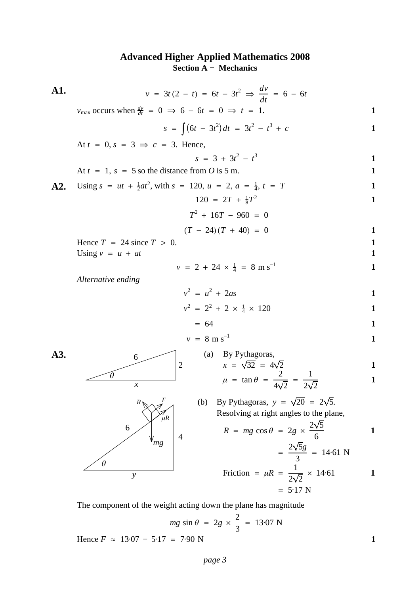### **Advanced Higher Applied Mathematics 2008 Section A − Mechanics**



Hence  $F \approx 13.07 - 5.17 = 7.90 \text{ N}$  1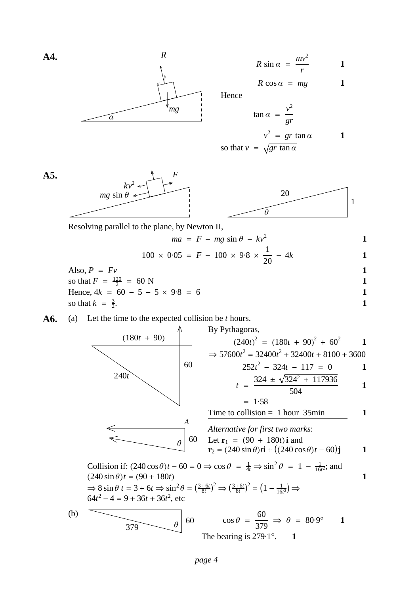$$
R \sin \alpha = \frac{mv^2}{r}
$$
 1

$$
R\cos\alpha = mg \qquad \qquad 1
$$

**1**

Hence

$$
\tan \alpha = \frac{v^2}{gr}
$$

$$
v^2 = gr \tan \alpha \qquad \qquad 1
$$
  
so that  $v = \sqrt{gr \tan \alpha}$ 

so that 
$$
v = \sqrt{gr} \tan \alpha
$$



*mg*

Resolving parallel to the plane, by Newton II,

**A4.** *R*

*α*

**A5.**

$$
ma = F - mg \sin \theta - kv^{2}
$$
  
100 × 0.05 = F - 100 × 9.8 ×  $\frac{1}{1}$  - 4k

$$
100 \times 0.05 = F - 100 \times 9.8 \times \frac{1}{20} - 4k
$$
  
Also,  $P = Fv$   
so that  $F = \frac{120}{2} = 60$  N  
Hence,  $4k = 60 - 5 - 5 \times 9.8 = 6$   
so that  $k = \frac{3}{2}$ .

**A6.** (a) Let the time to the expected collision be 
$$
t
$$
 hours.

(180t + 90)  
\nBy Pythagoras,  
\n
$$
(240t)^2 = (180t + 90)^2 + 60^2
$$
  
\n $\Rightarrow 57600t^2 = 32400t^2 + 32400t + 8100 + 3600$   
\n $252t^2 - 324t - 117 = 0$   
\n $t = \frac{324 \pm \sqrt{324^2 + 117936}}{504}$   
\n $t = 1.58$   
\n $\frac{324 \pm \sqrt{324^2 + 117936}}{504}$   
\n $\frac{1}{252t^2 - 1158}$   
\n $t = 1.58$   
\n $\frac{1}{252t^2 - 1158}$   
\n $\frac{1}{252t^2 - 1158}$   
\n $\frac{1}{252t^2 - 1158}$   
\n $\frac{1}{252t^2 - 1158}$   
\n $\frac{1}{252t^2 - 1158}$   
\n $\frac{1}{252t^2 - 1158}$   
\n $\frac{1}{252t^2 - 11758}$   
\n $\frac{1}{252t^2 - 11758}$   
\n $\frac{1}{252t^2 - 11758}$   
\n $\frac{1}{252t^2 - 11758}$   
\n $\frac{1}{252t^2 - 11758}$   
\n $\frac{1}{252t^2 - 11758}$   
\n $\frac{1}{252t^2 - 11758}$   
\n $\frac{1}{252t^2 - 11758}$   
\n $\frac{1}{252t^2 - 11758}$   
\n $\frac{1}{252t^2 - 11758}$   
\n $\frac{1}{252t^2 - 11758}$   
\n $\frac{1}{252t^2 - 11758}$   
\n $\frac{1}{252t^2 - 11758}$   
\n $\frac{1}{252t^2 -$ 

Collision if:  $(240 \cos \theta)t - 60 = 0 \Rightarrow \cos \theta = \frac{1}{4t} \Rightarrow \sin^2 \theta = 1 - \frac{1}{16t^2}$ ; and  $(240 \sin \theta)t = (90 + 180t)$ , etc  $\Rightarrow$  8 sin  $\theta$  *t* = 3 + 6*t*  $\Rightarrow$  sin<sup>2</sup> $\theta$  =  $\left(\frac{3+6t}{8t}\right)^2 \Rightarrow \left(\frac{3+6t}{8t}\right)^2 = \left(1 - \frac{1}{16t^2}\right) \Rightarrow$  $64t^2 - 4 = 9 + 36t + 36t^2$ 

(b) 
$$
\theta
$$
  $\theta$   $\cos \theta = \frac{60}{379} \Rightarrow \theta = 80.9^{\circ}$  1  
The bearing is 279.1°. 1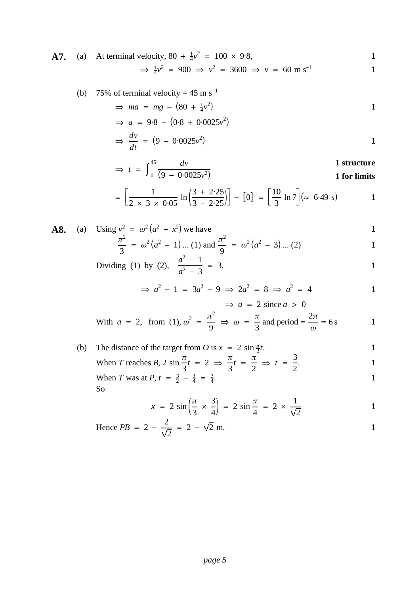**A7.** (a) At terminal velocity, 
$$
80 + \frac{1}{4}v^2 = 100 \times 9.8
$$
,  
\n $\Rightarrow \frac{1}{4}v^2 = 900 \Rightarrow v^2 = 3600 \Rightarrow v = 60 \text{ m s}^{-1}$ 

(b) 75% of terminal velocity = 
$$
45 \text{ m s}^{-1}
$$

$$
\Rightarrow ma = mg - (80 + \frac{1}{4}v^2)
$$

$$
\Rightarrow a = 9.8 - (0.8 + 0.0025v^{2})
$$
  

$$
\Rightarrow \frac{dv}{dt} = (9 - 0.0025v^{2})
$$

$$
\Rightarrow t = \int_{0}^{45} \frac{dv}{(9 - 0.0025v^2)}
$$
1 structures  
1 for limits

$$
= \left[\frac{1}{2 \times 3 \times 0.05} \ln \left(\frac{3 + 2.25}{3 - 2.25}\right)\right] - [0] = \left[\frac{10}{3} \ln 7\right] (\approx 6.49 \text{ s})
$$
 1

**A8.** (a) Using 
$$
v^2 = \omega^2 (a^2 - x^2)
$$
 we have  
\n
$$
\frac{\pi^2}{3} = \omega^2 (a^2 - 1) ... (1)
$$
\nand\n
$$
\frac{\pi^2}{9} = \omega^2 (a^2 - 3) ... (2)
$$

Dividing (1) by (2), 
$$
\frac{a^2 - 1}{a^2 - 3} = 3
$$
.

$$
\Rightarrow a^2 - 1 = 3a^2 - 9 \Rightarrow 2a^2 = 8 \Rightarrow a^2 = 4
$$
  

$$
\Rightarrow a = 2 \text{ since } a > 0
$$

With 
$$
a = 2
$$
, from (1),  $\omega^2 = \frac{\pi^2}{9} \implies \omega = \frac{\pi}{3}$  and period  $= \frac{2\pi}{\omega} = 6 \text{ s}$ 

(b) The distance of the target from *O* is 
$$
x = 2 \sin \frac{\pi}{3}t
$$
.  
\n1  
\n3  
\n1  
\n3

When T reaches B, 
$$
2 \sin \frac{\pi}{3} t = 2 \implies \frac{\pi}{3} t = \frac{\pi}{2} \implies t = \frac{3}{2}
$$
.

When T was at P, 
$$
t = \frac{3}{2} - \frac{3}{4} = \frac{3}{4}
$$
.  
So

$$
x = 2 \sin \left( \frac{\pi}{3} \times \frac{3}{4} \right) = 2 \sin \frac{\pi}{4} = 2 \times \frac{1}{\sqrt{2}}
$$

Hence 
$$
PB = 2 - \frac{2}{\sqrt{2}} = 2 - \sqrt{2} \text{ m.}
$$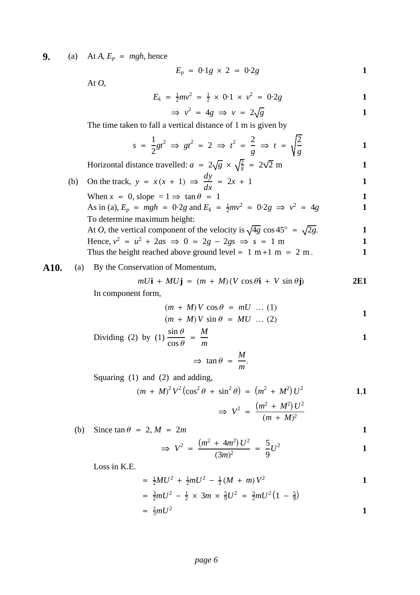**9.** (a) At  $A$ ,  $E_p$  = mgh, hence

$$
E_p = 0.1g \times 2 = 0.2g
$$

At  $O$ ,

$$
E_k = \frac{1}{2}mv^2 = \frac{1}{2} \times 0.1 \times v^2 = 0.2g
$$

$$
\Rightarrow v^2 = 4g \Rightarrow v = 2\sqrt{g}
$$

The time taken to fall a vertical distance of 1 m is given by

$$
s = \frac{1}{2}gt^2 \implies gt^2 = 2 \implies t^2 = \frac{2}{g} \implies t = \sqrt{\frac{2}{g}}
$$

Horizontal distance travelled: 
$$
a = 2\sqrt{g} \times \sqrt{\frac{2}{g}} = 2\sqrt{2}
$$
 m  
On the track.  $y = x(x + 1) \Rightarrow \frac{dy}{dx} = 2x + 1$ 

(b) On the track,  $y = x(x + 1) \implies$  $dx$ When  $x = 0$ , slope  $= 1 \Rightarrow \tan \theta = 1$  1 As in (a),  $E_p = mgh = 0.2g$  and  $E_k = \frac{1}{2}mv^2 = 0.2g \implies v^2 = 4g$ To determine maximum height: At *O*, the vertical component of the velocity is  $\sqrt{4g}$  cos 45° =  $\sqrt{2g}$ . Hence,  $v^2 = u^2 + 2as \implies 0 = 2g - 2gs \implies s = 1 \text{ m}$ Thus the height reached above ground level =  $1 \text{ m} + 1 \text{ m} = 2 \text{ m}$ .

### **A10.** (a) By the Conservation of Momentum,

$$
mU\mathbf{i} + MU\mathbf{j} = (m + M)(V\cos\theta\mathbf{i} + V\sin\theta\mathbf{j})
$$
 2E1

In component form,

$$
(m + M)V \cos \theta = mU \dots (1)
$$
  

$$
(m + M)V \sin \theta = MU \dots (2)
$$

Dividing (2) by (1) 
$$
\frac{\sin \theta}{\cos \theta} = \frac{M}{m}
$$

$$
\Rightarrow \tan \theta = \frac{M}{m}.
$$

Squaring (1) and (2) and adding,

$$
(m + M)^{2} V^{2} (\cos^{2} \theta + \sin^{2} \theta) = (m^{2} + M^{2}) U^{2}
$$
 **1.1**

$$
\Rightarrow V^2 = \frac{(m^2 + M^2) U^2}{(m + M)^2}
$$

(b) Since  $\tan \theta = 2, M = 2m$ 

$$
\Rightarrow V^2 = \frac{(m^2 + 4m^2)U^2}{(3m)^2} = \frac{5}{9}U^2
$$

Loss in K.E.

$$
= \frac{1}{2} M U^2 + \frac{1}{2} m U^2 - \frac{1}{2} (M + m) V^2
$$

$$
= \frac{3}{2}mU^2 - \frac{1}{2} \times 3m \times \frac{5}{9}U^2 = \frac{3}{2}mU^2(1 - \frac{5}{9})
$$
  
=  $\frac{2}{3}mU^2$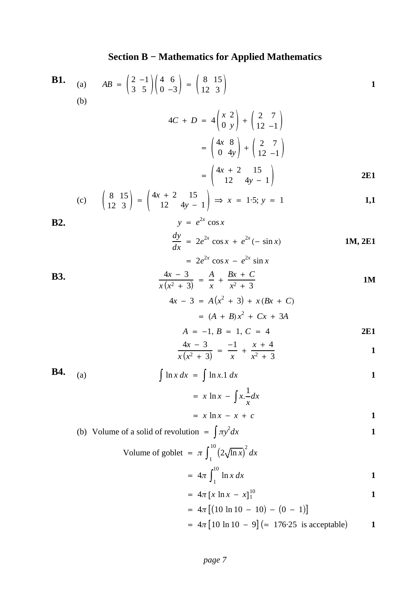### **Section B − Mathematics for Applied Mathematics**

**B1.** (a) 
$$
AB = \begin{pmatrix} 2 & -1 \\ 3 & 5 \end{pmatrix} \begin{pmatrix} 4 & 6 \\ 0 & -3 \end{pmatrix} = \begin{pmatrix} 8 & 15 \\ 12 & 3 \end{pmatrix}
$$
  
\n
$$
4C + D = 4 \begin{pmatrix} x & 2 \\ 0 & y \end{pmatrix} + \begin{pmatrix} 2 & 7 \\ 12 & -1 \end{pmatrix}
$$
\n
$$
= \begin{pmatrix} 4x + 8 \\ 0 & 4y \end{pmatrix} + \begin{pmatrix} 2 & 7 \\ 12 & -1 \end{pmatrix}
$$
\n
$$
= \begin{pmatrix} 4x + 2 & 15 \\ 0 & 4y - 1 \end{pmatrix}
$$
\n**2E1**  
\n(c)  $\begin{pmatrix} 8 & 15 \\ 12 & 3 \end{pmatrix} = \begin{pmatrix} 4x + 2 & 15 \\ 12 & 4y - 1 \end{pmatrix} \Rightarrow x = 1.5; y = 1$   
\n**3E2.**  $y = e^{2x} \cos x$   
\n
$$
\frac{dy}{dx} = 2e^{2x} \cos x + e^{2x}(-\sin x)
$$
\n**3E3.** 
$$
\frac{4x - 3}{x(x^2 + 3)} = \frac{A}{x} + \frac{Bx + C}{x^2 + 3}
$$
\n**3E4.** 
$$
A = -1, B = 1, C = 4
$$
\n
$$
\frac{4x - 3}{x(x^2 + 3)} = \frac{-1}{x} + \frac{x + 4}{x^2 + 3}
$$
\n**3E4.** (a) 
$$
\int \ln x \, dx = \int \ln x \cdot 1 \, dx
$$
\n
$$
= x \ln x - \int x \frac{1}{x} \, dx
$$
\n
$$
= x \ln x - x + c
$$
\n(b) Volume of a solid of revolution =  $\int \pi y^2 \, dx$   
\n
$$
= \frac{1}{\pi} \ln x \, dx
$$
\n
$$
= \frac{1}{\pi} \ln x \, dx
$$
\n
$$
= 4\pi \int_{1}^{10} (2\sqrt{\ln x})^2 \, dx
$$
\n
$$
= 4\pi \int_{
$$

$$
= 4\pi [x \ln x - x]_1^{10}
$$

$$
= 4\pi [(10 \ln 10 - 10) - (0 - 1)]
$$
  
=  $4\pi [10 \ln 10 - 9] (\approx 176.25 \text{ is acceptable})$  1